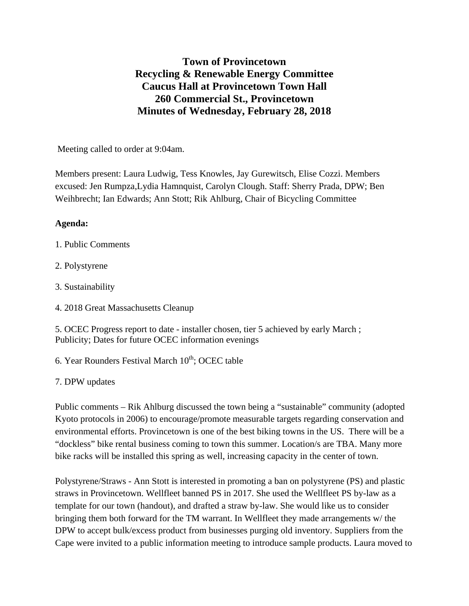## **Town of Provincetown Recycling & Renewable Energy Committee Caucus Hall at Provincetown Town Hall 260 Commercial St., Provincetown Minutes of Wednesday, February 28, 2018**

Meeting called to order at 9:04am.

Members present: Laura Ludwig, Tess Knowles, Jay Gurewitsch, Elise Cozzi. Members excused: Jen Rumpza,Lydia Hamnquist, Carolyn Clough. Staff: Sherry Prada, DPW; Ben Weihbrecht; Ian Edwards; Ann Stott; Rik Ahlburg, Chair of Bicycling Committee

## **Agenda:**

- 1. Public Comments
- 2. Polystyrene
- 3. Sustainability
- 4. 2018 Great Massachusetts Cleanup

5. OCEC Progress report to date - installer chosen, tier 5 achieved by early March ; Publicity; Dates for future OCEC information evenings

6. Year Rounders Festival March  $10^{th}$ ; OCEC table

## 7. DPW updates

Public comments – Rik Ahlburg discussed the town being a "sustainable" community (adopted Kyoto protocols in 2006) to encourage/promote measurable targets regarding conservation and environmental efforts. Provincetown is one of the best biking towns in the US. There will be a "dockless" bike rental business coming to town this summer. Location/s are TBA. Many more bike racks will be installed this spring as well, increasing capacity in the center of town.

Polystyrene/Straws - Ann Stott is interested in promoting a ban on polystyrene (PS) and plastic straws in Provincetown. Wellfleet banned PS in 2017. She used the Wellfleet PS by-law as a template for our town (handout), and drafted a straw by-law. She would like us to consider bringing them both forward for the TM warrant. In Wellfleet they made arrangements w/ the DPW to accept bulk/excess product from businesses purging old inventory. Suppliers from the Cape were invited to a public information meeting to introduce sample products. Laura moved to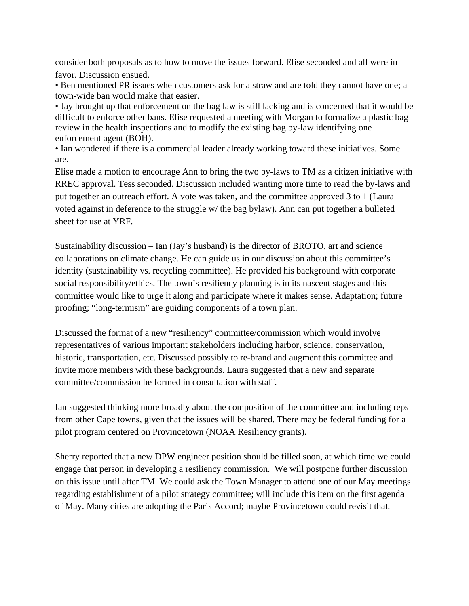consider both proposals as to how to move the issues forward. Elise seconded and all were in favor. Discussion ensued.

• Ben mentioned PR issues when customers ask for a straw and are told they cannot have one; a town-wide ban would make that easier.

• Jay brought up that enforcement on the bag law is still lacking and is concerned that it would be difficult to enforce other bans. Elise requested a meeting with Morgan to formalize a plastic bag review in the health inspections and to modify the existing bag by-law identifying one enforcement agent (BOH).

• Ian wondered if there is a commercial leader already working toward these initiatives. Some are.

Elise made a motion to encourage Ann to bring the two by-laws to TM as a citizen initiative with RREC approval. Tess seconded. Discussion included wanting more time to read the by-laws and put together an outreach effort. A vote was taken, and the committee approved 3 to 1 (Laura voted against in deference to the struggle w/ the bag bylaw). Ann can put together a bulleted sheet for use at YRF.

Sustainability discussion – Ian (Jay's husband) is the director of BROTO, art and science collaborations on climate change. He can guide us in our discussion about this committee's identity (sustainability vs. recycling committee). He provided his background with corporate social responsibility/ethics. The town's resiliency planning is in its nascent stages and this committee would like to urge it along and participate where it makes sense. Adaptation; future proofing; "long-termism" are guiding components of a town plan.

Discussed the format of a new "resiliency" committee/commission which would involve representatives of various important stakeholders including harbor, science, conservation, historic, transportation, etc. Discussed possibly to re-brand and augment this committee and invite more members with these backgrounds. Laura suggested that a new and separate committee/commission be formed in consultation with staff.

Ian suggested thinking more broadly about the composition of the committee and including reps from other Cape towns, given that the issues will be shared. There may be federal funding for a pilot program centered on Provincetown (NOAA Resiliency grants).

Sherry reported that a new DPW engineer position should be filled soon, at which time we could engage that person in developing a resiliency commission. We will postpone further discussion on this issue until after TM. We could ask the Town Manager to attend one of our May meetings regarding establishment of a pilot strategy committee; will include this item on the first agenda of May. Many cities are adopting the Paris Accord; maybe Provincetown could revisit that.